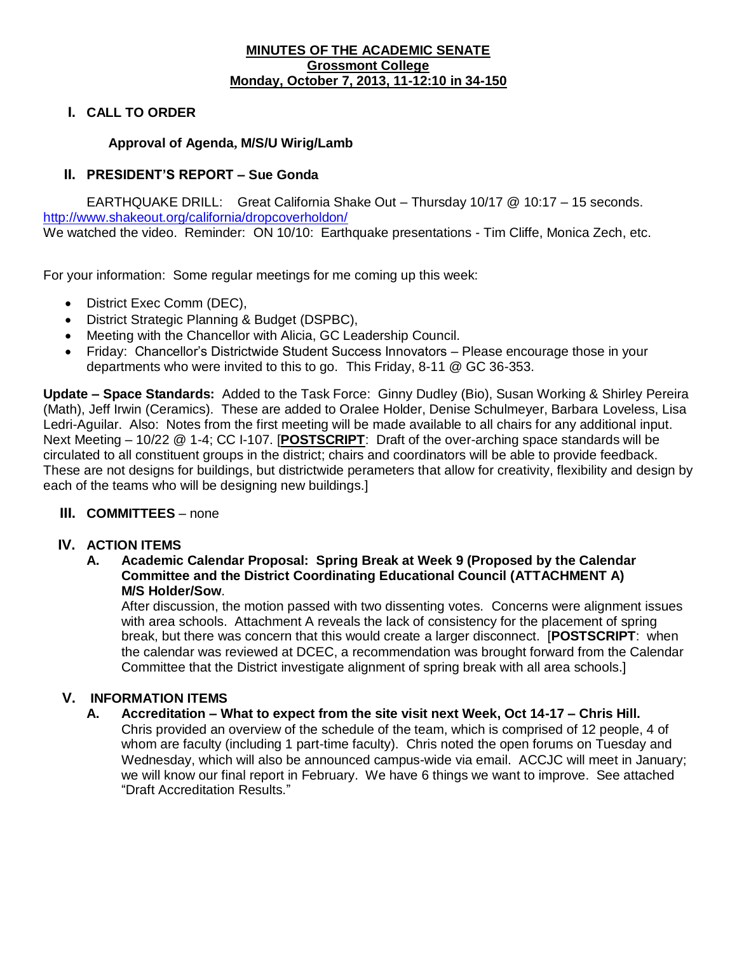#### **MINUTES OF THE ACADEMIC SENATE Grossmont College Monday, October 7, 2013, 11-12:10 in 34-150**

#### **I. CALL TO ORDER**

#### **Approval of Agenda, M/S/U Wirig/Lamb**

#### **II. PRESIDENT'S REPORT – Sue Gonda**

EARTHQUAKE DRILL: Great California Shake Out – Thursday 10/17 @ 10:17 – 15 seconds. <http://www.shakeout.org/california/dropcoverholdon/> We watched the video. Reminder: ON 10/10: Earthquake presentations - Tim Cliffe, Monica Zech, etc.

For your information: Some regular meetings for me coming up this week:

- District Exec Comm (DEC),
- District Strategic Planning & Budget (DSPBC),
- Meeting with the Chancellor with Alicia, GC Leadership Council.
- Friday: Chancellor's Districtwide Student Success Innovators Please encourage those in your departments who were invited to this to go. This Friday, 8-11 @ GC 36-353.

**Update – Space Standards:** Added to the Task Force: Ginny Dudley (Bio), Susan Working & Shirley Pereira (Math), Jeff Irwin (Ceramics). These are added to Oralee Holder, Denise Schulmeyer, Barbara Loveless, Lisa Ledri-Aguilar. Also: Notes from the first meeting will be made available to all chairs for any additional input. Next Meeting – 10/22 @ 1-4; CC I-107. [**POSTSCRIPT**: Draft of the over-arching space standards will be circulated to all constituent groups in the district; chairs and coordinators will be able to provide feedback. These are not designs for buildings, but districtwide perameters that allow for creativity, flexibility and design by each of the teams who will be designing new buildings.]

#### **III. COMMITTEES** – none

#### **IV. ACTION ITEMS**

#### **A. Academic Calendar Proposal: Spring Break at Week 9 (Proposed by the Calendar Committee and the District Coordinating Educational Council (ATTACHMENT A) M/S Holder/Sow**.

After discussion, the motion passed with two dissenting votes. Concerns were alignment issues with area schools. Attachment A reveals the lack of consistency for the placement of spring break, but there was concern that this would create a larger disconnect. [**POSTSCRIPT**: when the calendar was reviewed at DCEC, a recommendation was brought forward from the Calendar Committee that the District investigate alignment of spring break with all area schools.]

#### **V. INFORMATION ITEMS**

### **A. Accreditation – What to expect from the site visit next Week, Oct 14-17 – Chris Hill.**

Chris provided an overview of the schedule of the team, which is comprised of 12 people, 4 of whom are faculty (including 1 part-time faculty). Chris noted the open forums on Tuesday and Wednesday, which will also be announced campus-wide via email. ACCJC will meet in January; we will know our final report in February. We have 6 things we want to improve. See attached "Draft Accreditation Results."